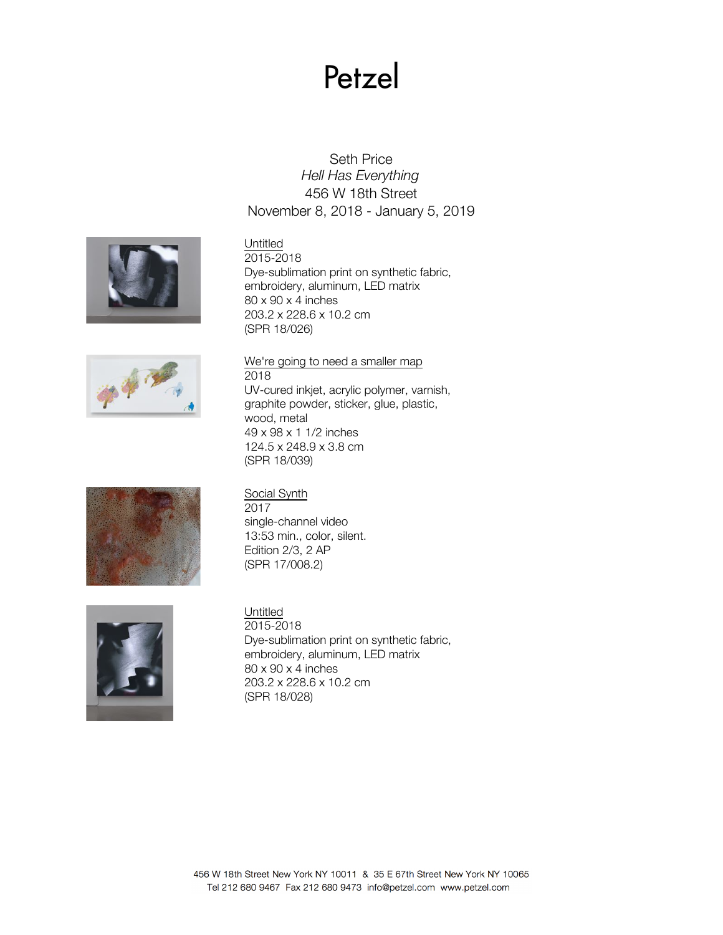# Petzel

# Seth Price *Hell Has Everything* 456 W 18th Street November 8, 2018 - January 5, 2019





2015-2018 Dye-sublimation print on synthetic fabric, embroidery, aluminum, LED matrix 80 x 90 x 4 inches 203.2 x 228.6 x 10.2 cm (SPR 18/026)



# We're going to need a smaller map

2018 UV-cured inkjet, acrylic polymer, varnish, graphite powder, sticker, glue, plastic, wood, metal 49 x 98 x 1 1/2 inches 124.5 x 248.9 x 3.8 cm (SPR 18/039)



# Social Synth

2017 single-channel video 13:53 min., color, silent. Edition 2/3, 2 AP (SPR 17/008.2)



# Untitled

2015-2018 Dye-sublimation print on synthetic fabric, embroidery, aluminum, LED matrix 80 x 90 x 4 inches 203.2 x 228.6 x 10.2 cm (SPR 18/028)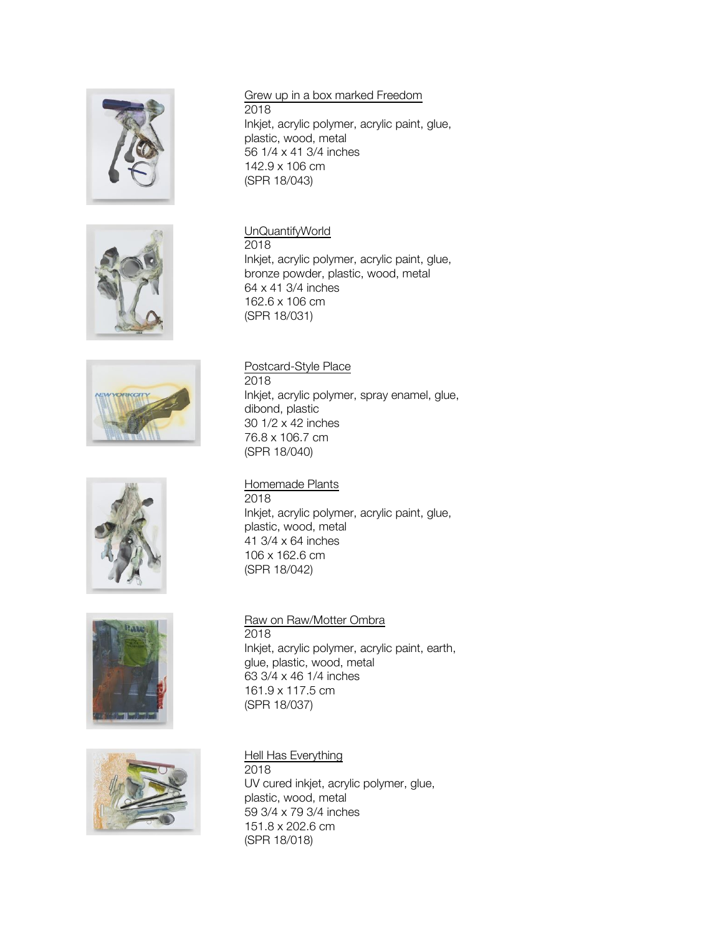











### Grew up in a box marked Freedom 2018 Inkjet, acrylic polymer, acrylic paint, glue, plastic, wood, metal 56 1/4 x 41 3/4 inches 142.9 x 106 cm

(SPR 18/043) UnQuantifyWorld 2018

Inkjet, acrylic polymer, acrylic paint, glue, bronze powder, plastic, wood, metal 64 x 41 3/4 inches 162.6 x 106 cm (SPR 18/031)

# Postcard-Style Place

2018 Inkjet, acrylic polymer, spray enamel, glue, dibond, plastic 30 1/2 x 42 inches 76.8 x 106.7 cm (SPR 18/040)

# Homemade Plants

2018 Inkjet, acrylic polymer, acrylic paint, glue, plastic, wood, metal 41 3/4 x 64 inches 106 x 162.6 cm (SPR 18/042)

# Raw on Raw/Motter Ombra

2018 Inkjet, acrylic polymer, acrylic paint, earth, glue, plastic, wood, metal 63 3/4 x 46 1/4 inches 161.9 x 117.5 cm (SPR 18/037)

# Hell Has Everything

2018 UV cured inkjet, acrylic polymer, glue, plastic, wood, metal 59 3/4 x 79 3/4 inches 151.8 x 202.6 cm (SPR 18/018)